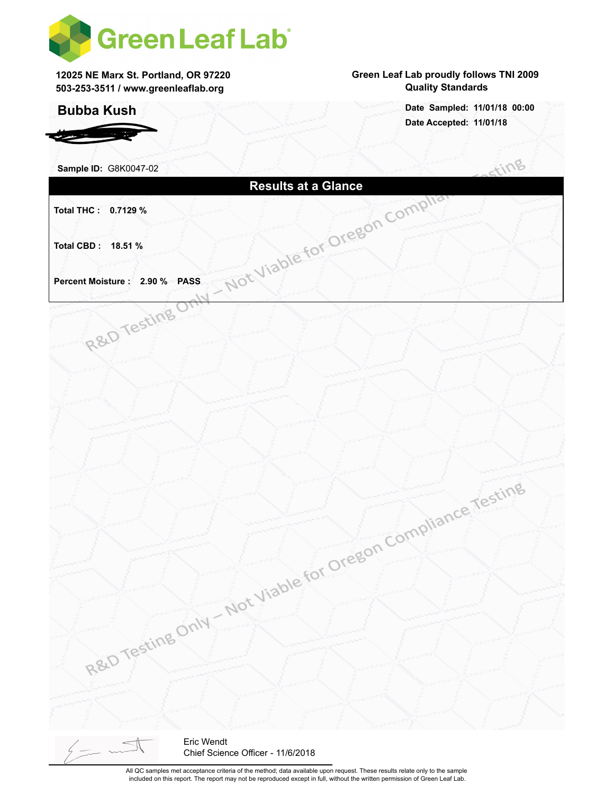

**12025 NE Marx St. Portland, OR 97220 503-253-3511 / www.greenleaflab.org**

## **Bubba Kush**

*Hemp Worldwide*

### **Green Leaf Lab proudly follows TNI 2009 Quality Standards**

**Date Accepted: 11/01/18 Date Sampled: 11/01/18 00:00**

| Sample ID: G8K0047-02         |                                                               | Stino |
|-------------------------------|---------------------------------------------------------------|-------|
|                               | <b>Results at a Glance</b><br>Not Viable for Oregon Compliant |       |
| Total THC: 0.7129 %           |                                                               |       |
|                               |                                                               |       |
|                               |                                                               |       |
| Total CBD: 18.51 %            |                                                               |       |
|                               |                                                               |       |
| Percent Moisture: 2.90 % PASS |                                                               |       |
|                               |                                                               |       |
| R&D Testing O                 |                                                               |       |
|                               |                                                               |       |
|                               |                                                               |       |
|                               |                                                               |       |
|                               |                                                               |       |
|                               |                                                               |       |
|                               |                                                               |       |
|                               |                                                               |       |
|                               |                                                               |       |
|                               |                                                               |       |
|                               |                                                               |       |
|                               | Not Viable for Oregon Compliance Testing                      |       |
|                               |                                                               |       |
|                               |                                                               |       |
|                               |                                                               |       |
|                               |                                                               |       |
|                               |                                                               |       |
|                               |                                                               |       |
|                               |                                                               |       |
|                               |                                                               |       |
| R&D Testing Only              |                                                               |       |
|                               |                                                               |       |
|                               |                                                               |       |
|                               |                                                               |       |
|                               |                                                               |       |
|                               |                                                               |       |
|                               |                                                               |       |
|                               |                                                               |       |
| $\frac{1}{2}$                 | Eric Wendt                                                    |       |
|                               | Chief Science Officer - 11/6/2018                             |       |

All QC samples met acceptance criteria of the method; data available upon request. These results relate only to the sample included on this report. The report may not be reproduced except in full, without the written permission of Green Leaf Lab.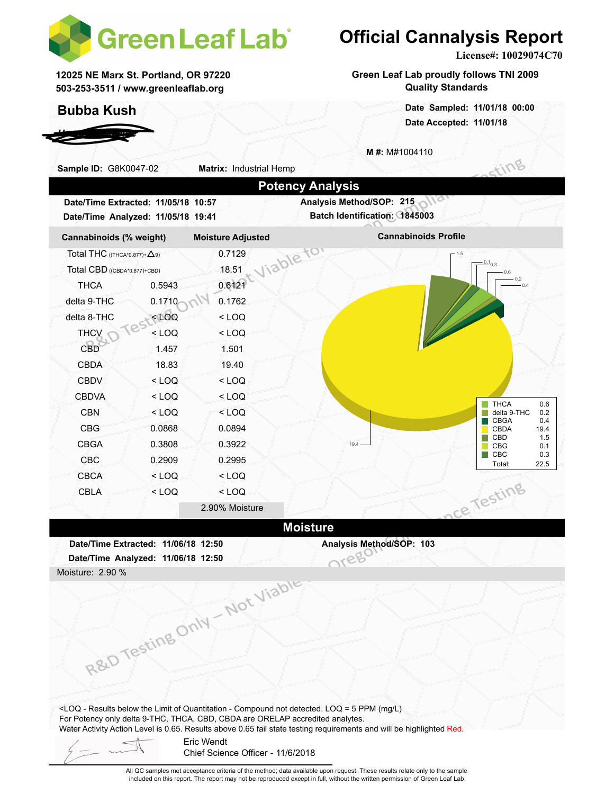

**12025 NE Marx St. Portland, OR 97220 503-253-3511 / www.greenleaflab.org**

## **Bubba Kush**

*Hemp Worldwide*

# **Official Cannalysis Report**

**License#: 10029074C70**

**Green Leaf Lab proudly follows TNI 2009 Quality Standards**

> **Date Accepted: 11/01/18 Date Sampled: 11/01/18 00:00**

**M #:** M#1004110



included on this report. The report may not be reproduced except in full, without the written permission of Green Leaf Lab.